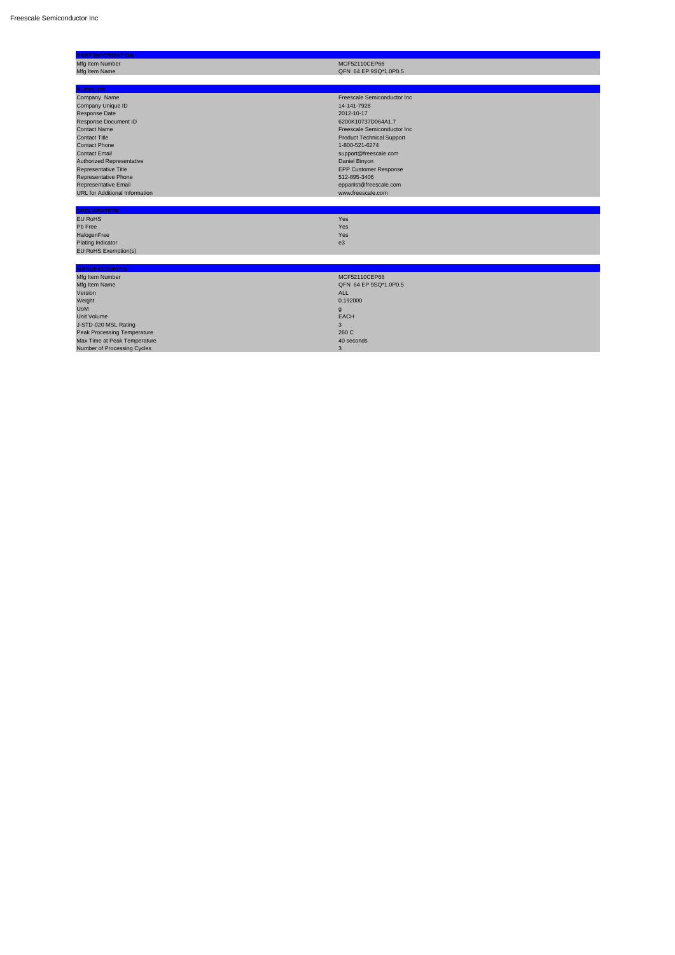| <b>PART INFORMATION</b>               |                                  |
|---------------------------------------|----------------------------------|
| Mfg Item Number                       | MCF52110CEP66                    |
| Mfg Item Name                         | QFN 64 EP 9SQ*1.0P0.5            |
|                                       |                                  |
| <b>SUPPLIER</b>                       |                                  |
| Company Name                          | Freescale Semiconductor Inc      |
| <b>Company Unique ID</b>              | 14-141-7928                      |
| Response Date                         | 2012-10-17                       |
| <b>Response Document ID</b>           | 6200K10737D064A1.7               |
| <b>Contact Name</b>                   | Freescale Semiconductor Inc      |
| <b>Contact Title</b>                  | <b>Product Technical Support</b> |
| <b>Contact Phone</b>                  | 1-800-521-6274                   |
| <b>Contact Email</b>                  | support@freescale.com            |
| Authorized Representative             | Daniel Binyon                    |
| Representative Title                  | <b>EPP Customer Response</b>     |
| Representative Phone                  | 512-895-3406                     |
| Representative Email                  | eppanIst@freescale.com           |
| <b>URL</b> for Additional Information | www.freescale.com                |
|                                       |                                  |
| <b>DECLARATION</b>                    |                                  |
| <b>EU RoHS</b>                        | Yes                              |
|                                       |                                  |

| Pb Free              | <b>Yes</b>     |
|----------------------|----------------|
| HalogenFree          | Yes            |
| Plating Indicator    | e <sub>3</sub> |
| EU RoHS Exemption(s) |                |

| <b>MANUFACTURING</b>               |                       |
|------------------------------------|-----------------------|
| Mfg Item Number                    | MCF52110CEP66         |
| Mfg Item Name                      | QFN 64 EP 9SQ*1.0P0.5 |
| Version                            | <b>ALL</b>            |
| Weight                             | 0.192000              |
| <b>UoM</b>                         | g                     |
| <b>Unit Volume</b>                 | <b>EACH</b>           |
| J-STD-020 MSL Rating               |                       |
| <b>Peak Processing Temperature</b> | 260 C                 |
| Max Time at Peak Temperature       | 40 seconds            |
| Number of Processing Cycles        | 3                     |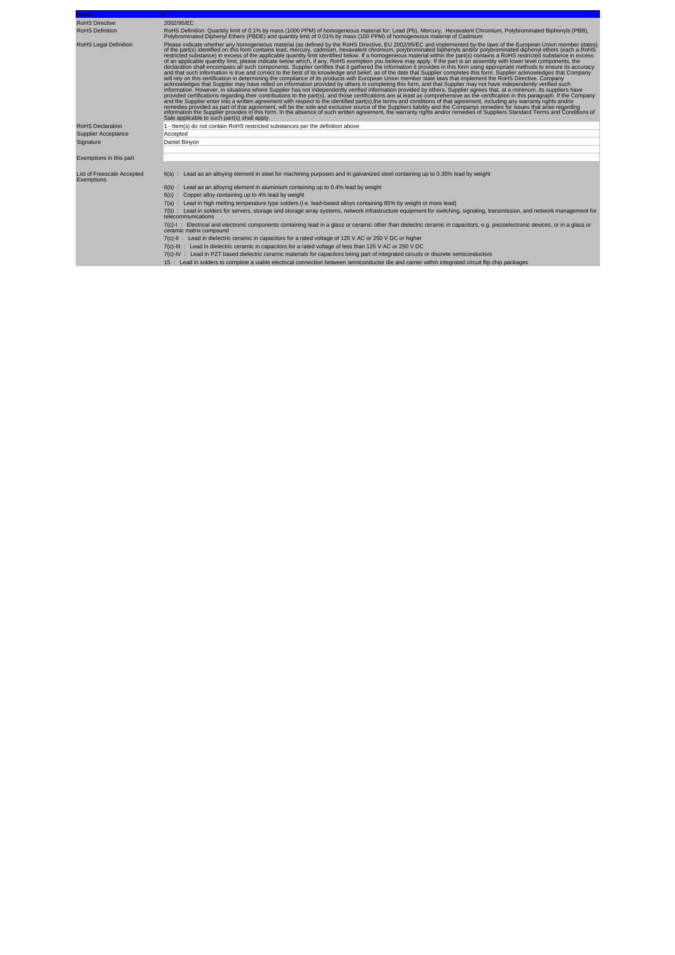| <b>RoHS</b>                              |                                                                                                                                                                                                                                                                                                                                                                                                                                                                                                                                                                                                                                                                                                                                                                                                                                                                                                                                                                                                                                                                                                                                                                                                                                                                                                                                                                                                                                                                                                                                                                                                                                                                                                                                                                                                                                                                                                                                                                                                                                                                                                                                                                                                                                                                                                                                                                              |
|------------------------------------------|------------------------------------------------------------------------------------------------------------------------------------------------------------------------------------------------------------------------------------------------------------------------------------------------------------------------------------------------------------------------------------------------------------------------------------------------------------------------------------------------------------------------------------------------------------------------------------------------------------------------------------------------------------------------------------------------------------------------------------------------------------------------------------------------------------------------------------------------------------------------------------------------------------------------------------------------------------------------------------------------------------------------------------------------------------------------------------------------------------------------------------------------------------------------------------------------------------------------------------------------------------------------------------------------------------------------------------------------------------------------------------------------------------------------------------------------------------------------------------------------------------------------------------------------------------------------------------------------------------------------------------------------------------------------------------------------------------------------------------------------------------------------------------------------------------------------------------------------------------------------------------------------------------------------------------------------------------------------------------------------------------------------------------------------------------------------------------------------------------------------------------------------------------------------------------------------------------------------------------------------------------------------------------------------------------------------------------------------------------------------------|
| <b>RoHS Directive</b>                    | 2002/95/EC                                                                                                                                                                                                                                                                                                                                                                                                                                                                                                                                                                                                                                                                                                                                                                                                                                                                                                                                                                                                                                                                                                                                                                                                                                                                                                                                                                                                                                                                                                                                                                                                                                                                                                                                                                                                                                                                                                                                                                                                                                                                                                                                                                                                                                                                                                                                                                   |
| <b>RoHS Definition</b>                   | RoHS Definition: Quantity limit of 0.1% by mass (1000 PPM) of homogeneous material for: Lead (Pb), Mercury, Hexavalent Chromium, Polybrominated Biphenyls (PBB),<br>Polybrominated Diphenyl Ethers (PBDE) and quantity limit of 0.01% by mass (100 PPM) of homogeneous material of Cadmium                                                                                                                                                                                                                                                                                                                                                                                                                                                                                                                                                                                                                                                                                                                                                                                                                                                                                                                                                                                                                                                                                                                                                                                                                                                                                                                                                                                                                                                                                                                                                                                                                                                                                                                                                                                                                                                                                                                                                                                                                                                                                   |
| <b>RoHS Legal Definition</b>             | Please indicate whether any homogeneous material (as defined by the RoHS Directive, EU 2002/95/EC and implemented by the laws of the European Union member states)<br>of the part(s) identified on this form contains lead, mercury, cadmium, hexavalent chromium, polybrominated biphenyls and/or polybrominated diphenyl ethers (each a RoHS)<br>restricted substance) in excess of the applicable quantity limit identified below. If a homogeneous material within the part(s) contains a RoHS restricted substance in excess<br>of an applicable quantity limit, please indicate below which, if any, RoHS exemption you believe may apply. If the part is an assembly with lower level components, the<br>declaration shall encompass all such components. Supplier certifies that it gathered the information it provides in this form using appropriate methods to ensure its accuracy<br>and that such information is true and correct to the best of its knowledge and belief, as of the date that Supplier completes this form. Supplier acknowledges that Company<br>will rely on this certification in determining the compliance of its products with European Union member state laws that implement the RoHS Directive. Company<br>acknowledges that Supplier may have relied on information provided by others in completing this form, and that Supplier may not have independently verified such<br>information. However, in situations where Supplier has not independently verified information provided by others, Supplier agrees that, at a minimum, its suppliers have<br>provided certifications regarding their contributions to the part(s), and those certifications are at least as comprehensive as the certification in this paragraph. If the Company<br>and the Supplier enter into a written agreement with respect to the identified part(s), the terms and conditions of that agreement, including any warranty rights and/or<br>remedies provided as part of that agreement, will be the sole and exclusive source of the Suppliers liability and the Companys remedies for issues that arise regarding<br>information the Supplier provides in this form. In the absence of such written agreement, the warranty rights and/or remedies of Suppliers Standard Terms and Conditions of<br>Sale applicable to such part(s) shall apply. |
| <b>RoHS Declaration</b>                  | 1 - Item(s) do not contain RoHS restricted substances per the definition above                                                                                                                                                                                                                                                                                                                                                                                                                                                                                                                                                                                                                                                                                                                                                                                                                                                                                                                                                                                                                                                                                                                                                                                                                                                                                                                                                                                                                                                                                                                                                                                                                                                                                                                                                                                                                                                                                                                                                                                                                                                                                                                                                                                                                                                                                               |
| <b>Supplier Acceptance</b>               | Accepted                                                                                                                                                                                                                                                                                                                                                                                                                                                                                                                                                                                                                                                                                                                                                                                                                                                                                                                                                                                                                                                                                                                                                                                                                                                                                                                                                                                                                                                                                                                                                                                                                                                                                                                                                                                                                                                                                                                                                                                                                                                                                                                                                                                                                                                                                                                                                                     |
| Signature                                | Daniel Binyon                                                                                                                                                                                                                                                                                                                                                                                                                                                                                                                                                                                                                                                                                                                                                                                                                                                                                                                                                                                                                                                                                                                                                                                                                                                                                                                                                                                                                                                                                                                                                                                                                                                                                                                                                                                                                                                                                                                                                                                                                                                                                                                                                                                                                                                                                                                                                                |
|                                          |                                                                                                                                                                                                                                                                                                                                                                                                                                                                                                                                                                                                                                                                                                                                                                                                                                                                                                                                                                                                                                                                                                                                                                                                                                                                                                                                                                                                                                                                                                                                                                                                                                                                                                                                                                                                                                                                                                                                                                                                                                                                                                                                                                                                                                                                                                                                                                              |
| Exemptions in this part                  |                                                                                                                                                                                                                                                                                                                                                                                                                                                                                                                                                                                                                                                                                                                                                                                                                                                                                                                                                                                                                                                                                                                                                                                                                                                                                                                                                                                                                                                                                                                                                                                                                                                                                                                                                                                                                                                                                                                                                                                                                                                                                                                                                                                                                                                                                                                                                                              |
|                                          |                                                                                                                                                                                                                                                                                                                                                                                                                                                                                                                                                                                                                                                                                                                                                                                                                                                                                                                                                                                                                                                                                                                                                                                                                                                                                                                                                                                                                                                                                                                                                                                                                                                                                                                                                                                                                                                                                                                                                                                                                                                                                                                                                                                                                                                                                                                                                                              |
| List of Freescale Accepted<br>Exemptions | 6(a) : Lead as an alloying element in steel for machining purposes and in galvanized steel containing up to 0.35% lead by weight                                                                                                                                                                                                                                                                                                                                                                                                                                                                                                                                                                                                                                                                                                                                                                                                                                                                                                                                                                                                                                                                                                                                                                                                                                                                                                                                                                                                                                                                                                                                                                                                                                                                                                                                                                                                                                                                                                                                                                                                                                                                                                                                                                                                                                             |
|                                          | 6(b) : Lead as an alloying element in aluminium containing up to 0.4% lead by weight                                                                                                                                                                                                                                                                                                                                                                                                                                                                                                                                                                                                                                                                                                                                                                                                                                                                                                                                                                                                                                                                                                                                                                                                                                                                                                                                                                                                                                                                                                                                                                                                                                                                                                                                                                                                                                                                                                                                                                                                                                                                                                                                                                                                                                                                                         |
|                                          | 6(c): Copper alloy containing up to 4% lead by weight                                                                                                                                                                                                                                                                                                                                                                                                                                                                                                                                                                                                                                                                                                                                                                                                                                                                                                                                                                                                                                                                                                                                                                                                                                                                                                                                                                                                                                                                                                                                                                                                                                                                                                                                                                                                                                                                                                                                                                                                                                                                                                                                                                                                                                                                                                                        |
|                                          | 7(a) : Lead in high melting temperature type solders (i.e. lead-based alloys containing 85% by weight or more lead)                                                                                                                                                                                                                                                                                                                                                                                                                                                                                                                                                                                                                                                                                                                                                                                                                                                                                                                                                                                                                                                                                                                                                                                                                                                                                                                                                                                                                                                                                                                                                                                                                                                                                                                                                                                                                                                                                                                                                                                                                                                                                                                                                                                                                                                          |
|                                          | 7(b) : Lead in solders for servers, storage and storage array systems, network infrastructure equipment for switching, signaling, transmission, and network management for<br>telecommunications                                                                                                                                                                                                                                                                                                                                                                                                                                                                                                                                                                                                                                                                                                                                                                                                                                                                                                                                                                                                                                                                                                                                                                                                                                                                                                                                                                                                                                                                                                                                                                                                                                                                                                                                                                                                                                                                                                                                                                                                                                                                                                                                                                             |
|                                          | 7(c)-I: Electrical and electronic components containing lead in a glass or ceramic other than dielectric ceramic in capacitors, e.g. piezoelectronic devices, or in a glass or<br>ceramic matrix compound                                                                                                                                                                                                                                                                                                                                                                                                                                                                                                                                                                                                                                                                                                                                                                                                                                                                                                                                                                                                                                                                                                                                                                                                                                                                                                                                                                                                                                                                                                                                                                                                                                                                                                                                                                                                                                                                                                                                                                                                                                                                                                                                                                    |
|                                          | 7(c)-II: Lead in dielectric ceramic in capacitors for a rated voltage of 125 V AC or 250 V DC or higher                                                                                                                                                                                                                                                                                                                                                                                                                                                                                                                                                                                                                                                                                                                                                                                                                                                                                                                                                                                                                                                                                                                                                                                                                                                                                                                                                                                                                                                                                                                                                                                                                                                                                                                                                                                                                                                                                                                                                                                                                                                                                                                                                                                                                                                                      |
|                                          | 7(c)-III : Lead in dielectric ceramic in capacitors for a rated voltage of less than 125 V AC or 250 V DC                                                                                                                                                                                                                                                                                                                                                                                                                                                                                                                                                                                                                                                                                                                                                                                                                                                                                                                                                                                                                                                                                                                                                                                                                                                                                                                                                                                                                                                                                                                                                                                                                                                                                                                                                                                                                                                                                                                                                                                                                                                                                                                                                                                                                                                                    |
|                                          | 7(c)-IV : Lead in PZT based dielectric ceramic materials for capacitors being part of integrated circuits or discrete semiconductors                                                                                                                                                                                                                                                                                                                                                                                                                                                                                                                                                                                                                                                                                                                                                                                                                                                                                                                                                                                                                                                                                                                                                                                                                                                                                                                                                                                                                                                                                                                                                                                                                                                                                                                                                                                                                                                                                                                                                                                                                                                                                                                                                                                                                                         |
|                                          | 15 : Lead in solders to complete a viable electrical connection between semiconductor die and carrier within integrated circuit flip chip packages                                                                                                                                                                                                                                                                                                                                                                                                                                                                                                                                                                                                                                                                                                                                                                                                                                                                                                                                                                                                                                                                                                                                                                                                                                                                                                                                                                                                                                                                                                                                                                                                                                                                                                                                                                                                                                                                                                                                                                                                                                                                                                                                                                                                                           |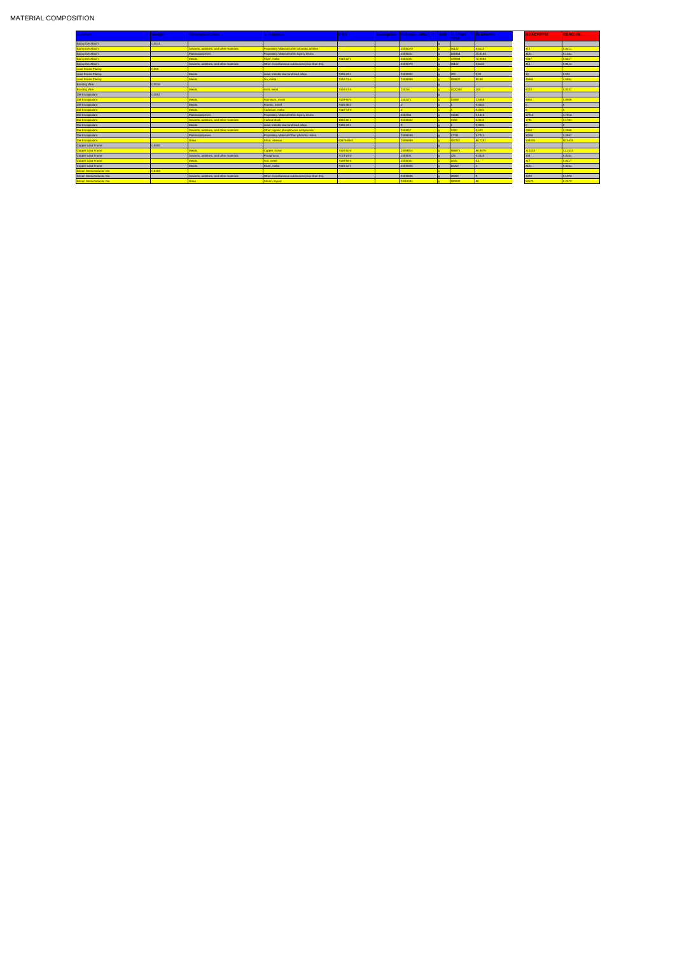| <b>SubPart</b>            | Weight | <b>SubstanceClass</b>                    | Substance                                         | <b>CAS</b> | <b>Exemption</b> | SubstanceWeight   UoM SubPart |          | <b>PPM</b> | SubPart%         | <b>REACHPPM</b> | <b>REACH%</b> |
|---------------------------|--------|------------------------------------------|---------------------------------------------------|------------|------------------|-------------------------------|----------|------------|------------------|-----------------|---------------|
| Epoxy Die Attach          | 0.0014 |                                          |                                                   |            |                  |                               |          |            |                  |                 |               |
| <b>Epoxy Die Attach</b>   |        | Solvents, additives, and other materials | <b>Proprietary Material-Other aromatic amines</b> |            |                  | 0.000079                      |          | 56122      | 5.6122           | $ 411\rangle$   | 0.0411        |
| Epoxy Die Attach          |        | Plastics/polymers                        | Proprietary Material-Other Epoxy resins           |            |                  | 0.000221                      | $\alpha$ | 158163     | 15.8163          | 1151            | 0.1151        |
| <b>Epoxy Die Attach</b>   |        |                                          | Silver, metal                                     | 7440-22-4  |                  | 0.001021                      |          | 729593     | 72.9593          | 5317            | 0.5317        |
| Epoxy Die Attach          |        | Solvents, additives, and other materials | Other miscellaneous substances (less than 5%).    |            |                  | 0.000079                      | $\alpha$ | 56122      | 5.6122           | 411             | 0.0411        |
| <b>Lead Frame Plating</b> | 0.009  |                                          |                                                   |            |                  |                               |          |            |                  |                 |               |
| Lead Frame Plating        |        | Metals                                   | Lead, metallic lead and lead alloys               | 7439-92-1  |                  | 0.000002                      | $\Omega$ | 200        | 0.02             | 10              | 0.001         |
| <b>Lead Frame Plating</b> |        | <b>Aetals</b>                            | Tin, metal                                        | 7440-31-5  |                  | 0.008998                      |          | 999800     | 99.98            | 46864           | 4.6864        |
| <b>Bonding Wire</b>       | 0.0016 |                                          |                                                   |            |                  |                               | $\Omega$ |            |                  |                 |               |
| <b>Bonding Wire</b>       |        | Metals                                   | Gold, metal                                       | 7440-57-5  |                  | 0.0016                        |          | 1000000    | 100 <sub>1</sub> | 3333            | 0.8333        |
| Die Encapsulant           | 0.1092 |                                          |                                                   |            |                  |                               |          |            |                  |                 |               |
| Die Encapsulant           |        |                                          | Aluminum, metal                                   | 7429-90-5  |                  | 0.00171                       |          | 15658      | 1.5658           |                 | 0.8906        |
| Die Encapsulant           |        | Metals                                   | Arsenic, metal                                    | 7440-38-2  |                  |                               | $\Omega$ |            | 0.0001           |                 |               |
| <b>Die Encapsulant</b>    |        | <b>Aetals</b>                            | Cadmium, metal                                    | 7440-43-9  |                  |                               |          |            | 0.0001           |                 |               |
| Die Encapsulant           |        | Plastics/polymers                        | Proprietary Material-Other Epoxy resins           |            |                  | 0.00342                       | $\Omega$ | 31315      | 3.1315           | 17812           | 1.7812        |
| Die Encapsulant           |        | Solvents, additives, and other materials | <b>Carbon Black</b>                               | 1333-86-4  |                  | 0.000342                      |          | 3132       | 0.3132           | 1781            | 0.1781        |
| Die Encapsulant           |        | Metals                                   | Lead, metallic lead and lead alloys               | 7439-92-1  |                  |                               | $\alpha$ |            | 0.0001           |                 |               |
| Die Encapsulant           |        | Solvents, additives, and other materials | Other organic phosphorous compounds               |            |                  | 0.00057                       |          | 5220       | 0.522            | 2968            | 0.2968        |
| Die Encapsulant           |        | Plastics/polymers                        | Proprietary Material-Other phenolic resins        |            |                  | 0.006269                      |          | 57411      | 5.7411           | 32651           | 3.2651        |
| <b>Die Encapsulant</b>    |        | <b>Glass</b>                             | Silica, vitreous                                  | 60676-86-0 |                  | 0.096889                      |          | 887261     | 88.7261          | 504636          | 50.4636       |
| Copper Lead Frame         | 0.0605 |                                          |                                                   |            |                  |                               | $\alpha$ |            |                  |                 |               |
| <b>Copper Lead Frame</b>  |        | <b>Metals</b>                            | Copper, metal                                     | 7440-50-8  |                  | 0.059814                      |          | 988675     | 98.8675          | 311533          | 31.1533       |
| Copper Lead Frame         |        | Solvents, additives, and other materials | Phosphorus                                        | 7723-14-0  |                  | 0.00002                       |          | 325        | 0.0325           | 104             | 0.0104        |
| <b>Copper Lead Frame</b>  |        |                                          | Iron, metal                                       | 7439-89-6  |                  | 0.000061                      |          | 1000       | 0 <sub>1</sub>   | 317             | 0.0317        |
| Copper Lead Frame         |        | Metals                                   | Silver, metal                                     | 7440-22-4  |                  | 0.000605                      |          | 10000      |                  | 3151            | 0.3151        |
| Silicon Semiconductor Die | 0.0103 |                                          |                                                   |            |                  |                               |          |            |                  |                 |               |
| Silicon Semiconductor Die |        | Solvents, additives, and other materials | Other miscellaneous substances (less than 5%).    |            |                  | 0.000206                      |          | 20000      |                  | 1072            | 0.1072        |
| Silicon Semiconductor Die |        | Glass                                    | Silicon, doped                                    |            |                  | 0.010094                      |          | 980000     |                  | 52572           | 5.2572        |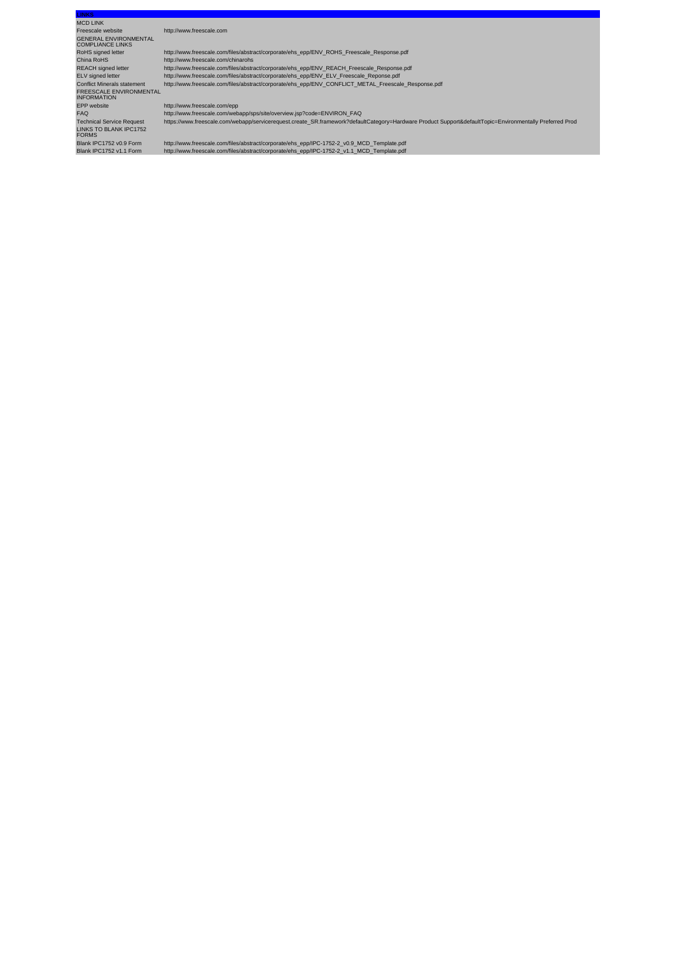| <b>LINKS</b>                                            |                                                                                                                                                          |  |  |  |
|---------------------------------------------------------|----------------------------------------------------------------------------------------------------------------------------------------------------------|--|--|--|
| <b>MCD LINK</b>                                         |                                                                                                                                                          |  |  |  |
| Freescale website                                       | http://www.freescale.com                                                                                                                                 |  |  |  |
| <b>GENERAL ENVIRONMENTAL</b><br><b>COMPLIANCE LINKS</b> |                                                                                                                                                          |  |  |  |
| RoHS signed letter                                      | http://www.freescale.com/files/abstract/corporate/ehs_epp/ENV_ROHS_Freescale_Response.pdf                                                                |  |  |  |
| China RoHS                                              | http://www.freescale.com/chinarohs                                                                                                                       |  |  |  |
| <b>REACH</b> signed letter                              | http://www.freescale.com/files/abstract/corporate/ehs_epp/ENV_REACH_Freescale_Response.pdf                                                               |  |  |  |
| ELV signed letter                                       | http://www.freescale.com/files/abstract/corporate/ehs_epp/ENV_ELV_Freescale_Reponse.pdf                                                                  |  |  |  |
| <b>Conflict Minerals statement</b>                      | http://www.freescale.com/files/abstract/corporate/ehs_epp/ENV_CONFLICT_METAL_Freescale_Response.pdf                                                      |  |  |  |
| <b>FREESCALE ENVIRONMENTAL</b><br><b>INFORMATION</b>    |                                                                                                                                                          |  |  |  |
| <b>EPP</b> website                                      | http://www.freescale.com/epp                                                                                                                             |  |  |  |
| <b>FAQ</b>                                              | http://www.freescale.com/webapp/sps/site/overview.jsp?code=ENVIRON_FAQ                                                                                   |  |  |  |
| <b>Technical Service Request</b>                        | https://www.freescale.com/webapp/servicerequest.create_SR.framework?defaultCategory=Hardware Product Support&defaultTopic=Environmentally Preferred Prod |  |  |  |
| LINKS TO BLANK IPC1752<br><b>FORMS</b>                  |                                                                                                                                                          |  |  |  |
| Blank IPC1752 v0.9 Form                                 | http://www.freescale.com/files/abstract/corporate/ehs_epp/IPC-1752-2_v0.9_MCD_Template.pdf                                                               |  |  |  |
| Blank IPC1752 v1.1 Form                                 | http://www.freescale.com/files/abstract/corporate/ehs_epp/IPC-1752-2_v1.1_MCD_Template.pdf                                                               |  |  |  |